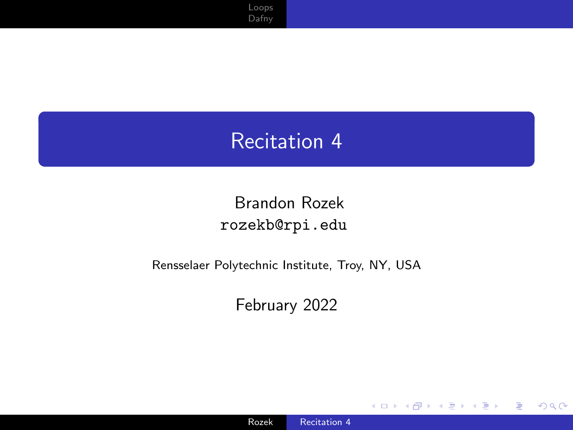## <span id="page-0-0"></span>Recitation 4

#### Brandon Rozek [rozekb@rpi.edu](mailto:rozekb@rpi.edu)

#### Rensselaer Polytechnic Institute, Troy, NY, USA

#### February 2022

4日下

 $299$ 

∍ -b

Ε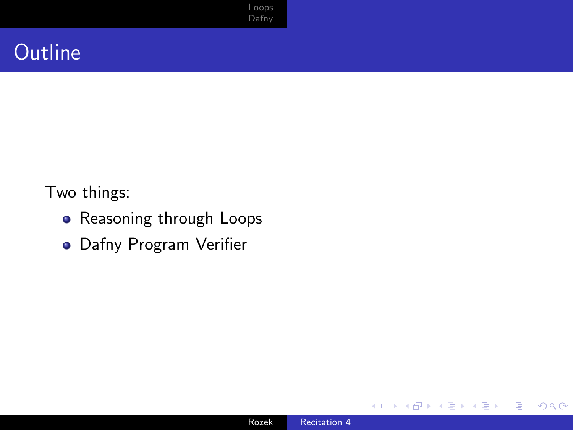## **Outline**

Two things:

- **•** Reasoning through Loops
- Dafny Program Verifier

€⊡

E

∍

Þ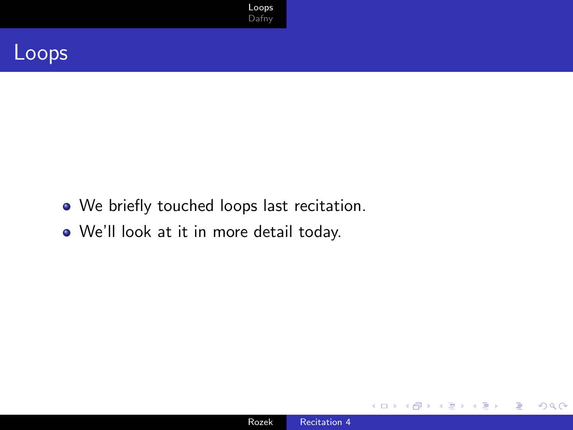

#### <span id="page-2-0"></span>Loops

- We briefly touched loops last recitation.
- We'll look at it in more detail today.

∢⊡

 $299$ 

准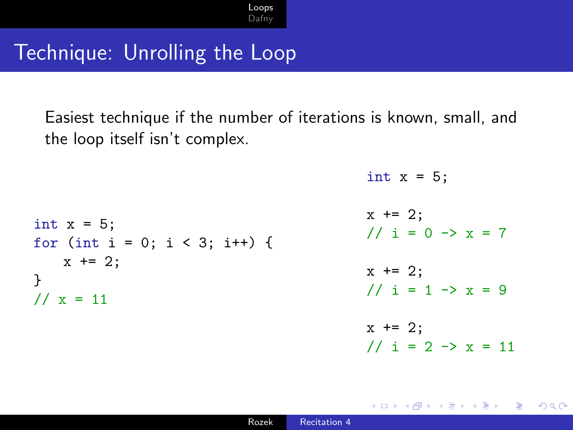#### Technique: Unrolling the Loop

Easiest technique if the number of iterations is known, small, and the loop itself isn't complex.

int  $x = 5$ ;

//  $i = 2 \rightarrow x = 11$ 

 $200$ 

int  $x = 5$ ; for (int i = 0; i < 3; i++) {  $x \neq 2$ : }  $11 \times = 11$  $x$  += 2; //  $i = 0 \rightarrow x = 7$  $x$  += 2; //  $i = 1 \rightarrow x = 9$  $x \neq 2$ ;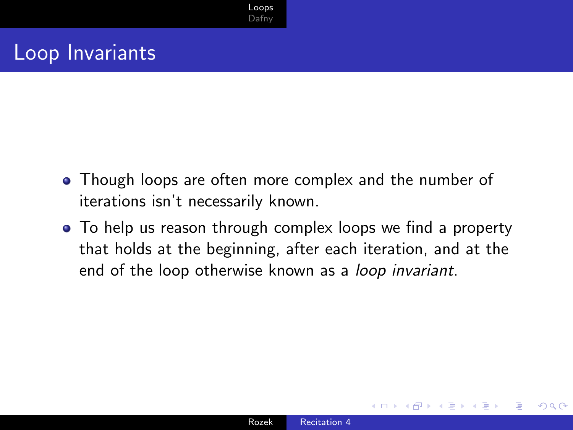## Loop Invariants

- Though loops are often more complex and the number of iterations isn't necessarily known.
- To help us reason through complex loops we find a property that holds at the beginning, after each iteration, and at the end of the loop otherwise known as a loop invariant.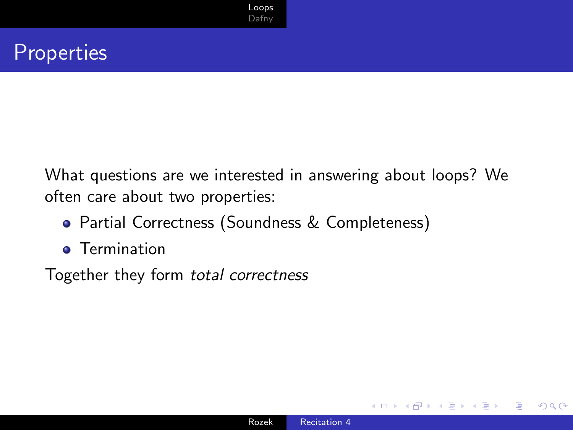#### **Properties**

What questions are we interested in answering about loops? We often care about two properties:

- Partial Correctness (Soundness & Completeness)
- **•** Termination

Together they form total correctness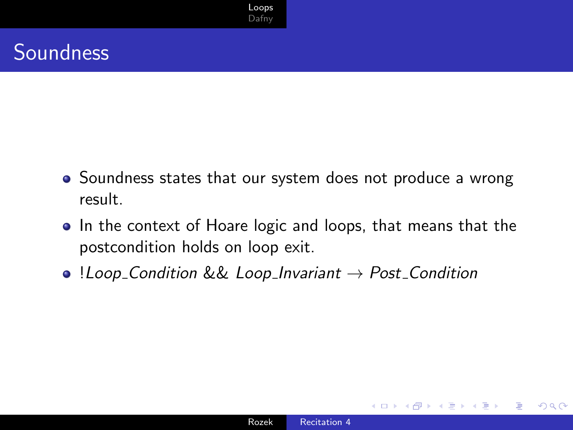## **Soundness**

- Soundness states that our system does not produce a wrong result.
- In the context of Hoare logic and loops, that means that the postcondition holds on loop exit.
- $\bullet$  !Loop Condition && Loop Invariant  $\to$  Post Condition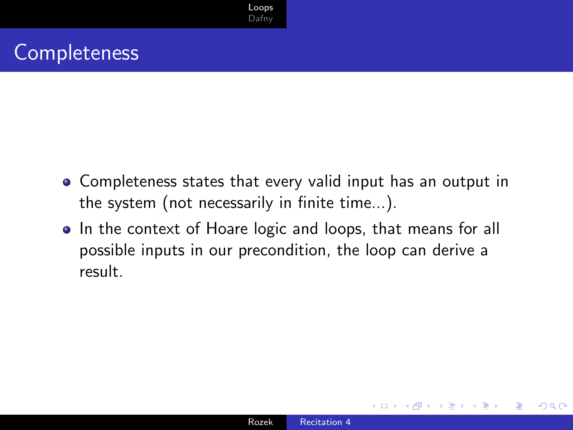#### **Completeness**

- Completeness states that every valid input has an output in the system (not necessarily in finite time...).
- In the context of Hoare logic and loops, that means for all possible inputs in our precondition, the loop can derive a result.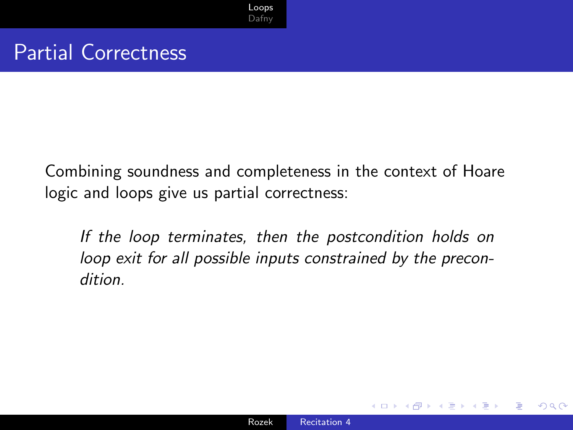#### Partial Correctness

Combining soundness and completeness in the context of Hoare logic and loops give us partial correctness:

If the loop terminates, then the postcondition holds on loop exit for all possible inputs constrained by the precondition.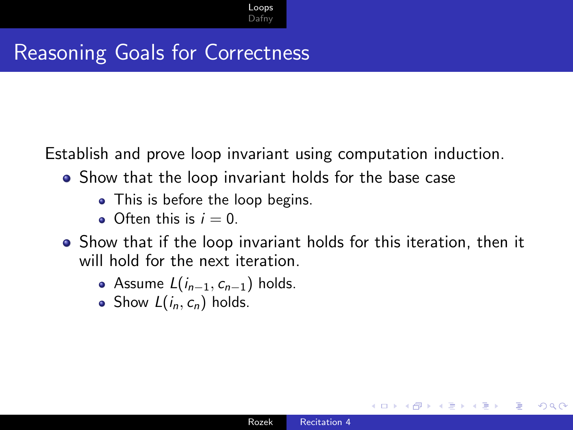## Reasoning Goals for Correctness

Establish and prove loop invariant using computation induction.

- Show that the loop invariant holds for the base case
	- This is before the loop begins.
	- $\bullet$  Often this is  $i = 0$ .
- Show that if the loop invariant holds for this iteration, then it will hold for the next iteration.
	- Assume  $L(i_{n-1}, c_{n-1})$  holds.
	- Show  $L(i_n, c_n)$  holds.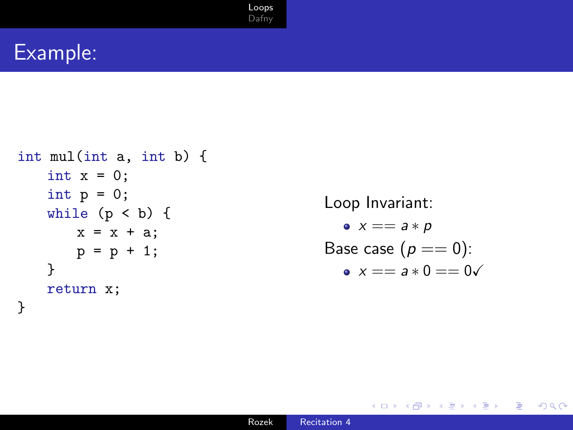#### Example:

```
int mul(int a, int b) {
   int x = 0;
   int p = 0;
   while (p < b) {
       x = x + a;
       p = p + 1;}
   return x;
}
```

```
Loop Invariant:
  \bullet x == a * pBase case (p == 0):
  x = a * 0 = 0
```
Ξ

Э× э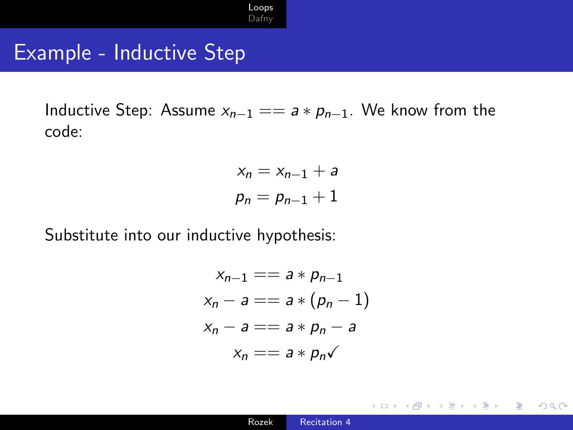### Example - Inductive Step

Inductive Step: Assume  $x_{n-1} == a * p_{n-1}$ . We know from the code:

$$
x_n = x_{n-1} + a
$$

$$
p_n = p_{n-1} + 1
$$

Substitute into our inductive hypothesis:

$$
x_{n-1} == a * p_{n-1}
$$
  
\n
$$
x_n - a == a * (p_n - 1)
$$
  
\n
$$
x_n - a == a * p_n - a
$$
  
\n
$$
x_n == a * p_n \checkmark
$$

 $2990$ 

∍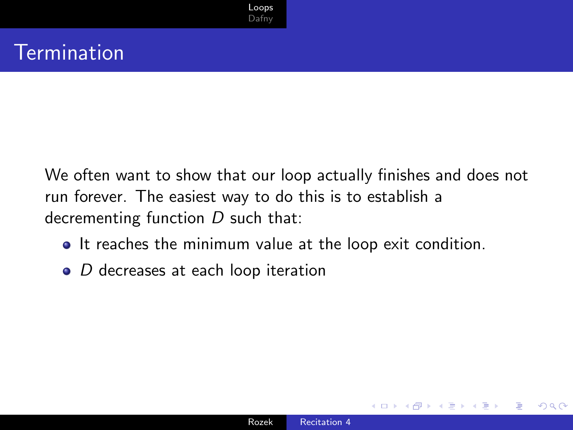### **Termination**

We often want to show that our loop actually finishes and does not run forever. The easiest way to do this is to establish a decrementing function  $D$  such that:

- It reaches the minimum value at the loop exit condition.
- $\bullet$  D decreases at each loop iteration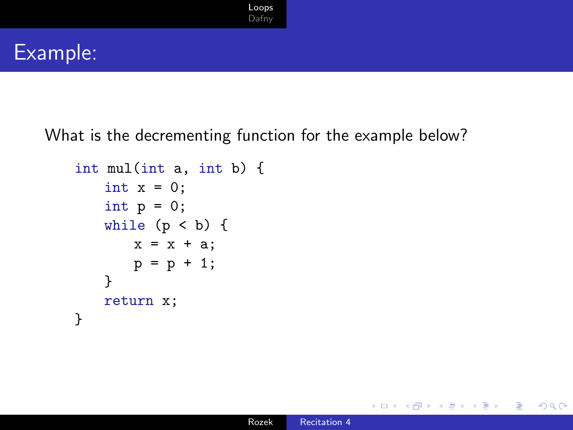#### Example:

What is the decrementing function for the example below?

```
int mul(int a, int b) {
   int x = 0;
   int p = 0;
   while (p < b) {
       x = x + a;
       p = p + 1;}
   return x;
}
```
 $299$ 

∍ -b

∍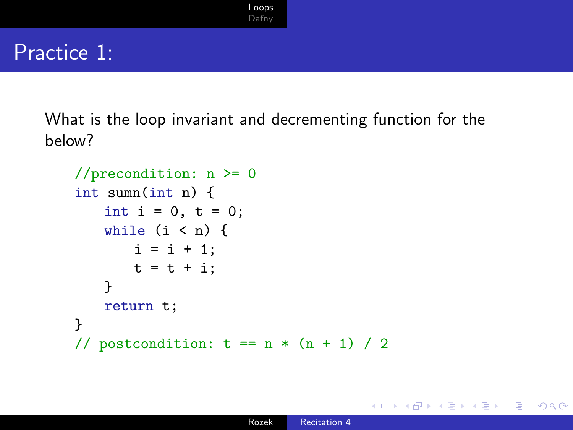#### Practice 1:

What is the loop invariant and decrementing function for the below?

```
//precondition: n \ge 0int sumn(int n) {
   int i = 0, t = 0;while (i < n) {
       i = i + 1;
       t = t + i:
   }
   return t;
}
// postcondition: t = n * (n + 1) / 2
```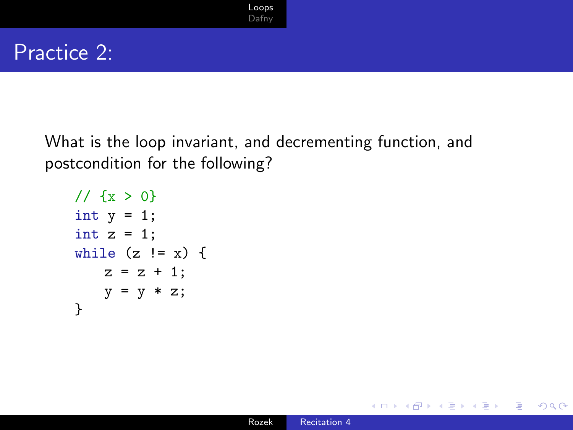#### Practice 2:

What is the loop invariant, and decrementing function, and postcondition for the following?

```
11 \{x > 0\}int y = 1;
int z = 1;
while (z := x) {
   z = z + 1;y = y * z;}
```
∍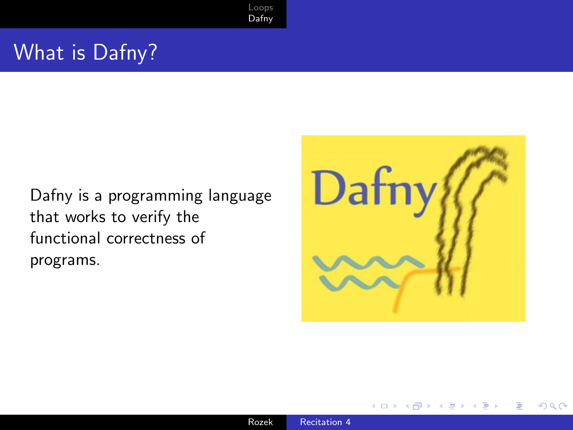#### <span id="page-16-0"></span>What is Dafny?

Dafny is a programming language that works to verify the functional correctness of programs.



つくへ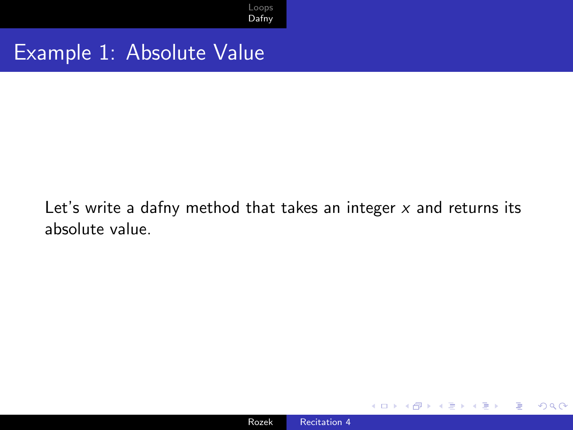#### Example 1: Absolute Value

Let's write a dafny method that takes an integer  $x$  and returns its absolute value.

 $299$ 

∍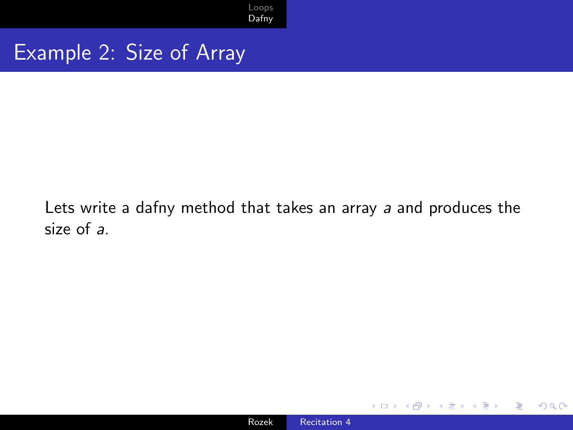#### Example 2: Size of Array

#### Lets write a dafny method that takes an array a and produces the size of a.

 $299$ 

∍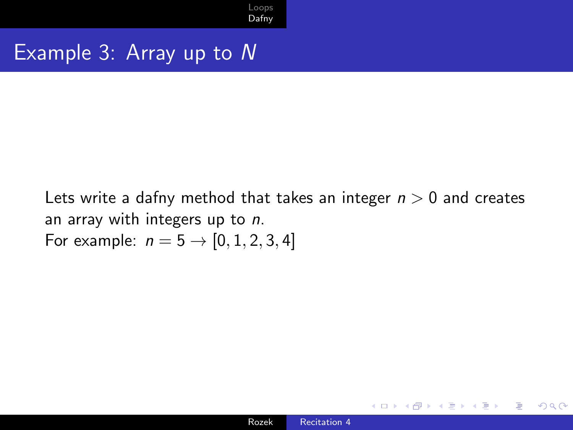#### Example 3: Array up to N

Lets write a dafny method that takes an integer  $n > 0$  and creates an array with integers up to n. For example:  $n = 5 \rightarrow [0, 1, 2, 3, 4]$